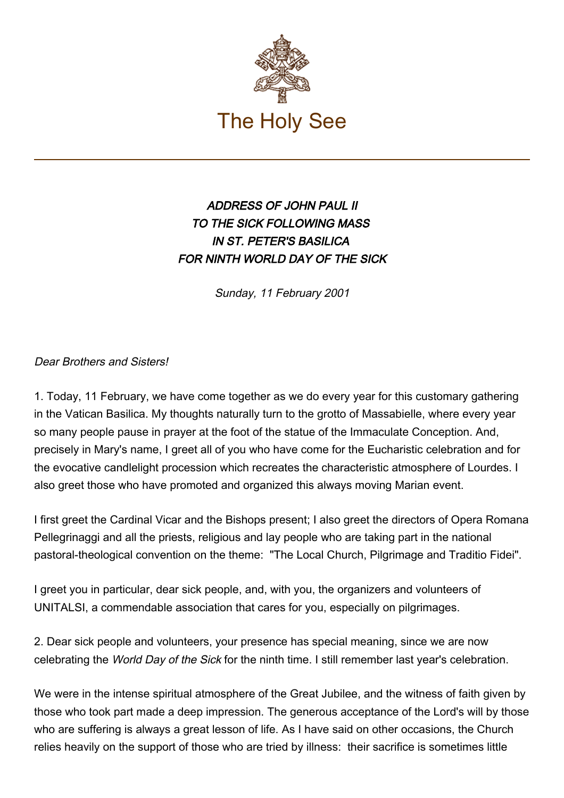

## ADDRESS OF JOHN PAUL II TO THE SICK FOLLOWING MASS IN ST. PETER'S BASILICA FOR NINTH WORLD DAY OF THE SICK

Sunday, 11 February 2001

Dear Brothers and Sisters!

1. Today, 11 February, we have come together as we do every year for this customary gathering in the Vatican Basilica. My thoughts naturally turn to the grotto of Massabielle, where every year so many people pause in prayer at the foot of the statue of the Immaculate Conception. And, precisely in Mary's name, I greet all of you who have come for the Eucharistic celebration and for the evocative candlelight procession which recreates the characteristic atmosphere of Lourdes. I also greet those who have promoted and organized this always moving Marian event.

I first greet the Cardinal Vicar and the Bishops present; I also greet the directors of Opera Romana Pellegrinaggi and all the priests, religious and lay people who are taking part in the national pastoral-theological convention on the theme: "The Local Church, Pilgrimage and Traditio Fidei".

I greet you in particular, dear sick people, and, with you, the organizers and volunteers of UNITALSI, a commendable association that cares for you, especially on pilgrimages.

2. Dear sick people and volunteers, your presence has special meaning, since we are now celebrating the World Day of the Sick for the ninth time. I still remember last year's celebration.

We were in the intense spiritual atmosphere of the Great Jubilee, and the witness of faith given by those who took part made a deep impression. The generous acceptance of the Lord's will by those who are suffering is always a great lesson of life. As I have said on other occasions, the Church relies heavily on the support of those who are tried by illness: their sacrifice is sometimes little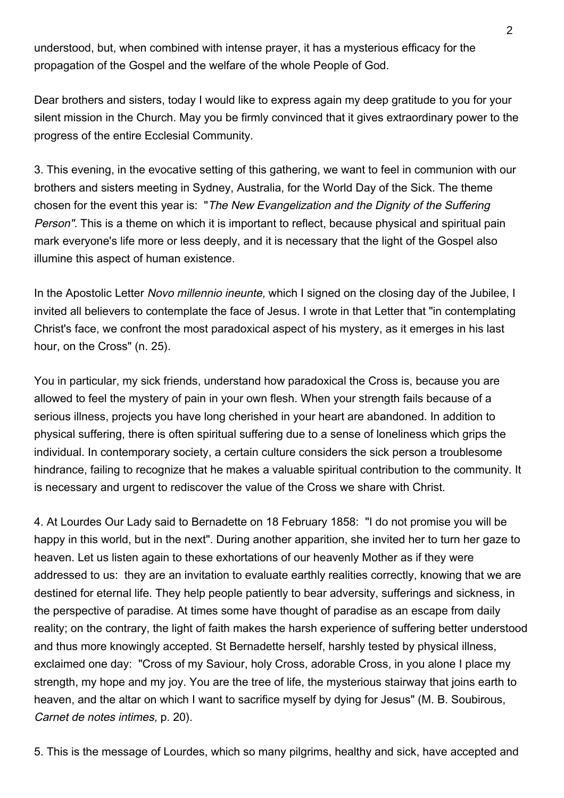understood, but, when combined with intense prayer, it has a mysterious efficacy for the propagation of the Gospel and the welfare of the whole People of God.

Dear brothers and sisters, today I would like to express again my deep gratitude to you for your silent mission in the Church. May you be firmly convinced that it gives extraordinary power to the progress of the entire Ecclesial Community.

3. This evening, in the evocative setting of this gathering, we want to feel in communion with our brothers and sisters meeting in Sydney, Australia, for the World Day of the Sick. The theme chosen for the event this year is: "The New Evangelization and the Dignity of the Suffering Person". This is a theme on which it is important to reflect, because physical and spiritual pain mark everyone's life more or less deeply, and it is necessary that the light of the Gospel also illumine this aspect of human existence.

In the Apostolic Letter Novo millennio ineunte, which I signed on the closing day of the Jubilee, I invited all believers to contemplate the face of Jesus. I wrote in that Letter that "in contemplating Christ's face, we confront the most paradoxical aspect of his mystery, as it emerges in his last hour, on the Cross" (n. 25).

You in particular, my sick friends, understand how paradoxical the Cross is, because you are allowed to feel the mystery of pain in your own flesh. When your strength fails because of a serious illness, projects you have long cherished in your heart are abandoned. In addition to physical suffering, there is often spiritual suffering due to a sense of loneliness which grips the individual. In contemporary society, a certain culture considers the sick person a troublesome hindrance, failing to recognize that he makes a valuable spiritual contribution to the community. It is necessary and urgent to rediscover the value of the Cross we share with Christ.

4. At Lourdes Our Lady said to Bernadette on 18 February 1858: "I do not promise you will be happy in this world, but in the next". During another apparition, she invited her to turn her gaze to heaven. Let us listen again to these exhortations of our heavenly Mother as if they were addressed to us: they are an invitation to evaluate earthly realities correctly, knowing that we are destined for eternal life. They help people patiently to bear adversity, sufferings and sickness, in the perspective of paradise. At times some have thought of paradise as an escape from daily reality; on the contrary, the light of faith makes the harsh experience of suffering better understood and thus more knowingly accepted. St Bernadette herself, harshly tested by physical illness, exclaimed one day: "Cross of my Saviour, holy Cross, adorable Cross, in you alone I place my strength, my hope and my joy. You are the tree of life, the mysterious stairway that joins earth to heaven, and the altar on which I want to sacrifice myself by dying for Jesus" (M. B. Soubirous, Carnet de notes intimes, p. 20).